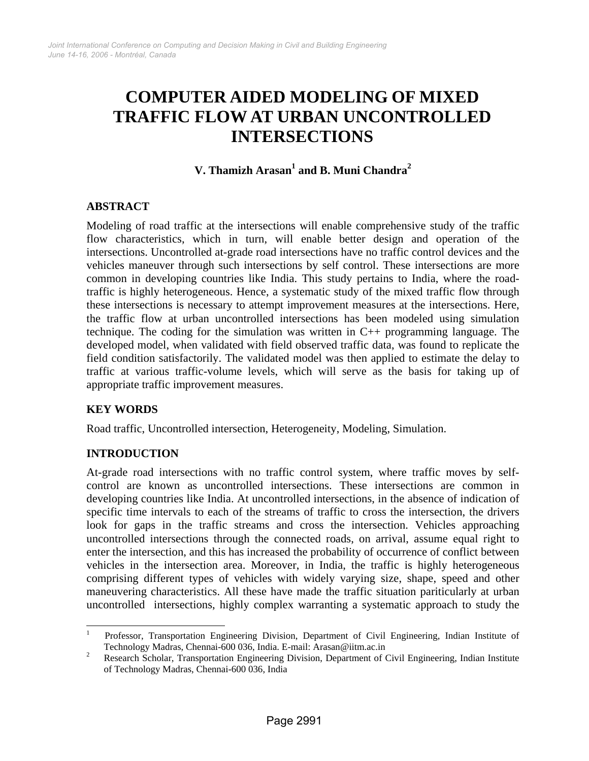# **COMPUTER AIDED MODELING OF MIXED TRAFFIC FLOW AT URBAN UNCONTROLLED INTERSECTIONS**

# **V. Thamizh Arasan<sup>1</sup> and B. Muni Chandra<sup>2</sup>**

# **ABSTRACT**

Modeling of road traffic at the intersections will enable comprehensive study of the traffic flow characteristics, which in turn, will enable better design and operation of the intersections. Uncontrolled at-grade road intersections have no traffic control devices and the vehicles maneuver through such intersections by self control. These intersections are more common in developing countries like India. This study pertains to India, where the roadtraffic is highly heterogeneous. Hence, a systematic study of the mixed traffic flow through these intersections is necessary to attempt improvement measures at the intersections. Here, the traffic flow at urban uncontrolled intersections has been modeled using simulation technique. The coding for the simulation was written in C++ programming language. The developed model, when validated with field observed traffic data, was found to replicate the field condition satisfactorily. The validated model was then applied to estimate the delay to traffic at various traffic-volume levels, which will serve as the basis for taking up of appropriate traffic improvement measures.

# **KEY WORDS**

Road traffic, Uncontrolled intersection, Heterogeneity, Modeling, Simulation.

### **INTRODUCTION**

At-grade road intersections with no traffic control system, where traffic moves by selfcontrol are known as uncontrolled intersections. These intersections are common in developing countries like India. At uncontrolled intersections, in the absence of indication of specific time intervals to each of the streams of traffic to cross the intersection, the drivers look for gaps in the traffic streams and cross the intersection. Vehicles approaching uncontrolled intersections through the connected roads, on arrival, assume equal right to enter the intersection, and this has increased the probability of occurrence of conflict between vehicles in the intersection area. Moreover, in India, the traffic is highly heterogeneous comprising different types of vehicles with widely varying size, shape, speed and other maneuvering characteristics. All these have made the traffic situation pariticularly at urban uncontrolled intersections, highly complex warranting a systematic approach to study the

 $\frac{1}{1}$  Professor, Transportation Engineering Division, Department of Civil Engineering, Indian Institute of Technology Madras, Chennai-600 036, India. E-mail: Arasan@iitm.ac.in

<sup>2</sup> Research Scholar, Transportation Engineering Division, Department of Civil Engineering, Indian Institute of Technology Madras, Chennai-600 036, India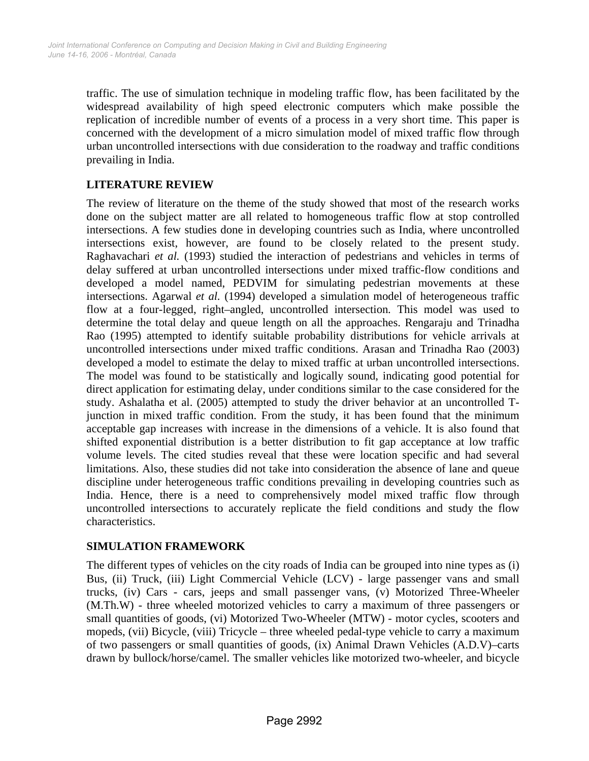traffic. The use of simulation technique in modeling traffic flow, has been facilitated by the widespread availability of high speed electronic computers which make possible the replication of incredible number of events of a process in a very short time. This paper is concerned with the development of a micro simulation model of mixed traffic flow through urban uncontrolled intersections with due consideration to the roadway and traffic conditions prevailing in India.

# **LITERATURE REVIEW**

The review of literature on the theme of the study showed that most of the research works done on the subject matter are all related to homogeneous traffic flow at stop controlled intersections. A few studies done in developing countries such as India, where uncontrolled intersections exist, however, are found to be closely related to the present study. Raghavachari *et al.* (1993) studied the interaction of pedestrians and vehicles in terms of delay suffered at urban uncontrolled intersections under mixed traffic-flow conditions and developed a model named, PEDVIM for simulating pedestrian movements at these intersections. Agarwal *et al.* (1994) developed a simulation model of heterogeneous traffic flow at a four-legged, right–angled, uncontrolled intersection*.* This model was used to determine the total delay and queue length on all the approaches. Rengaraju and Trinadha Rao (1995) attempted to identify suitable probability distributions for vehicle arrivals at uncontrolled intersections under mixed traffic conditions. Arasan and Trinadha Rao (2003) developed a model to estimate the delay to mixed traffic at urban uncontrolled intersections. The model was found to be statistically and logically sound, indicating good potential for direct application for estimating delay, under conditions similar to the case considered for the study. Ashalatha et al. (2005) attempted to study the driver behavior at an uncontrolled Tjunction in mixed traffic condition. From the study, it has been found that the minimum acceptable gap increases with increase in the dimensions of a vehicle. It is also found that shifted exponential distribution is a better distribution to fit gap acceptance at low traffic volume levels. The cited studies reveal that these were location specific and had several limitations. Also, these studies did not take into consideration the absence of lane and queue discipline under heterogeneous traffic conditions prevailing in developing countries such as India. Hence, there is a need to comprehensively model mixed traffic flow through uncontrolled intersections to accurately replicate the field conditions and study the flow characteristics.

### **SIMULATION FRAMEWORK**

The different types of vehicles on the city roads of India can be grouped into nine types as (i) Bus, (ii) Truck, (iii) Light Commercial Vehicle (LCV) - large passenger vans and small trucks, (iv) Cars - cars, jeeps and small passenger vans, (v) Motorized Three-Wheeler (M.Th.W) - three wheeled motorized vehicles to carry a maximum of three passengers or small quantities of goods, (vi) Motorized Two-Wheeler (MTW) - motor cycles, scooters and mopeds, (vii) Bicycle, (viii) Tricycle – three wheeled pedal-type vehicle to carry a maximum of two passengers or small quantities of goods, (ix) Animal Drawn Vehicles (A.D.V)–carts drawn by bullock/horse/camel. The smaller vehicles like motorized two-wheeler, and bicycle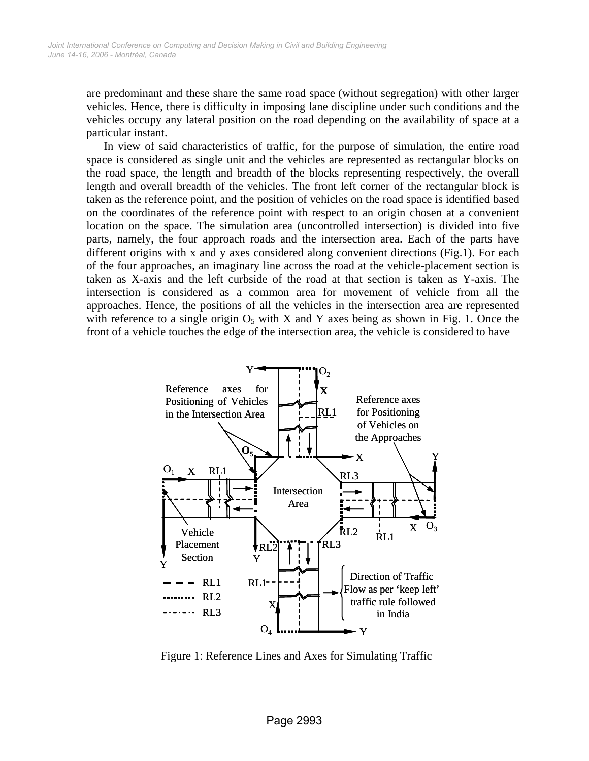are predominant and these share the same road space (without segregation) with other larger vehicles. Hence, there is difficulty in imposing lane discipline under such conditions and the vehicles occupy any lateral position on the road depending on the availability of space at a particular instant.

 In view of said characteristics of traffic, for the purpose of simulation, the entire road space is considered as single unit and the vehicles are represented as rectangular blocks on the road space, the length and breadth of the blocks representing respectively, the overall length and overall breadth of the vehicles. The front left corner of the rectangular block is taken as the reference point, and the position of vehicles on the road space is identified based on the coordinates of the reference point with respect to an origin chosen at a convenient location on the space. The simulation area (uncontrolled intersection) is divided into five parts, namely, the four approach roads and the intersection area. Each of the parts have different origins with x and y axes considered along convenient directions (Fig.1). For each of the four approaches, an imaginary line across the road at the vehicle-placement section is taken as X-axis and the left curbside of the road at that section is taken as Y-axis. The intersection is considered as a common area for movement of vehicle from all the approaches. Hence, the positions of all the vehicles in the intersection area are represented with reference to a single origin  $O_5$  with X and Y axes being as shown in Fig. 1. Once the front of a vehicle touches the edge of the intersection area, the vehicle is considered to have



Figure 1: Reference Lines and Axes for Simulating Traffic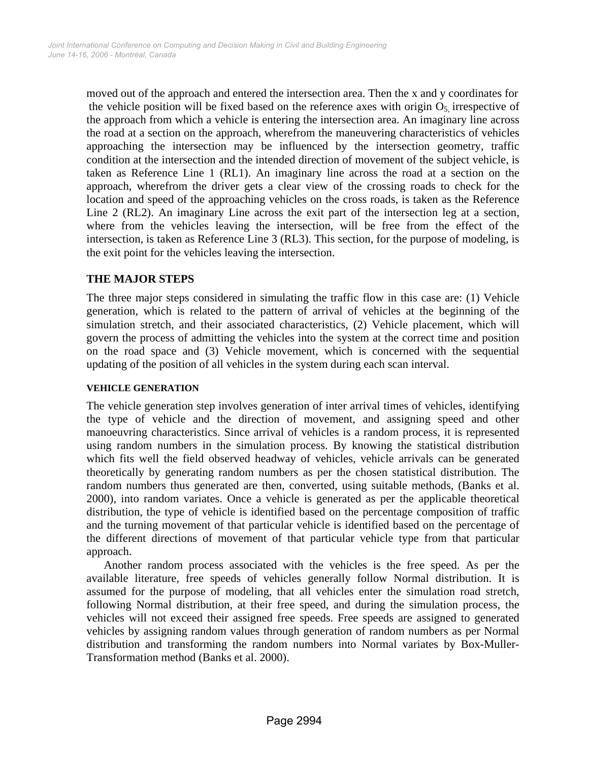moved out of the approach and entered the intersection area. Then the x and y coordinates for the vehicle position will be fixed based on the reference axes with origin  $O<sub>5</sub>$  irrespective of the approach from which a vehicle is entering the intersection area. An imaginary line across the road at a section on the approach, wherefrom the maneuvering characteristics of vehicles approaching the intersection may be influenced by the intersection geometry, traffic condition at the intersection and the intended direction of movement of the subject vehicle, is taken as Reference Line 1 (RL1). An imaginary line across the road at a section on the approach, wherefrom the driver gets a clear view of the crossing roads to check for the location and speed of the approaching vehicles on the cross roads, is taken as the Reference Line 2 (RL2). An imaginary Line across the exit part of the intersection leg at a section, where from the vehicles leaving the intersection, will be free from the effect of the intersection, is taken as Reference Line 3 (RL3). This section, for the purpose of modeling, is the exit point for the vehicles leaving the intersection.

# **THE MAJOR STEPS**

The three major steps considered in simulating the traffic flow in this case are: (1) Vehicle generation, which is related to the pattern of arrival of vehicles at the beginning of the simulation stretch, and their associated characteristics, (2) Vehicle placement, which will govern the process of admitting the vehicles into the system at the correct time and position on the road space and (3) Vehicle movement, which is concerned with the sequential updating of the position of all vehicles in the system during each scan interval.

### **VEHICLE GENERATION**

The vehicle generation step involves generation of inter arrival times of vehicles, identifying the type of vehicle and the direction of movement, and assigning speed and other manoeuvring characteristics. Since arrival of vehicles is a random process, it is represented using random numbers in the simulation process. By knowing the statistical distribution which fits well the field observed headway of vehicles, vehicle arrivals can be generated theoretically by generating random numbers as per the chosen statistical distribution. The random numbers thus generated are then, converted, using suitable methods, (Banks et al. 2000), into random variates. Once a vehicle is generated as per the applicable theoretical distribution, the type of vehicle is identified based on the percentage composition of traffic and the turning movement of that particular vehicle is identified based on the percentage of the different directions of movement of that particular vehicle type from that particular approach.

 Another random process associated with the vehicles is the free speed. As per the available literature, free speeds of vehicles generally follow Normal distribution. It is assumed for the purpose of modeling, that all vehicles enter the simulation road stretch, following Normal distribution, at their free speed, and during the simulation process, the vehicles will not exceed their assigned free speeds. Free speeds are assigned to generated vehicles by assigning random values through generation of random numbers as per Normal distribution and transforming the random numbers into Normal variates by Box-Muller-Transformation method (Banks et al. 2000).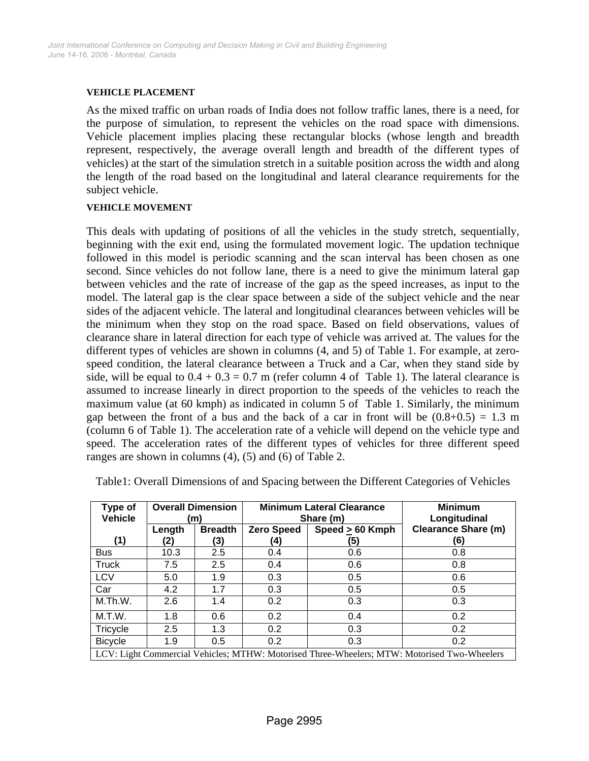#### **VEHICLE PLACEMENT**

As the mixed traffic on urban roads of India does not follow traffic lanes, there is a need, for the purpose of simulation, to represent the vehicles on the road space with dimensions. Vehicle placement implies placing these rectangular blocks (whose length and breadth represent, respectively, the average overall length and breadth of the different types of vehicles) at the start of the simulation stretch in a suitable position across the width and along the length of the road based on the longitudinal and lateral clearance requirements for the subject vehicle.

#### **VEHICLE MOVEMENT**

This deals with updating of positions of all the vehicles in the study stretch, sequentially, beginning with the exit end, using the formulated movement logic. The updation technique followed in this model is periodic scanning and the scan interval has been chosen as one second. Since vehicles do not follow lane, there is a need to give the minimum lateral gap between vehicles and the rate of increase of the gap as the speed increases, as input to the model. The lateral gap is the clear space between a side of the subject vehicle and the near sides of the adjacent vehicle. The lateral and longitudinal clearances between vehicles will be the minimum when they stop on the road space. Based on field observations, values of clearance share in lateral direction for each type of vehicle was arrived at. The values for the different types of vehicles are shown in columns (4, and 5) of Table 1. For example, at zerospeed condition, the lateral clearance between a Truck and a Car, when they stand side by side, will be equal to  $0.4 + 0.3 = 0.7$  m (refer column 4 of Table 1). The lateral clearance is assumed to increase linearly in direct proportion to the speeds of the vehicles to reach the maximum value (at 60 kmph) as indicated in column 5 of Table 1. Similarly, the minimum gap between the front of a bus and the back of a car in front will be  $(0.8+0.5) = 1.3$  m (column 6 of Table 1). The acceleration rate of a vehicle will depend on the vehicle type and speed. The acceleration rates of the different types of vehicles for three different speed ranges are shown in columns (4), (5) and (6) of Table 2.

| Type of<br><b>Vehicle</b>                                                                   |               | <b>Overall Dimension</b><br>(m) |                          | <b>Minimum Lateral Clearance</b><br>Share (m) | <b>Minimum</b><br>Longitudinal    |  |  |
|---------------------------------------------------------------------------------------------|---------------|---------------------------------|--------------------------|-----------------------------------------------|-----------------------------------|--|--|
| (1)                                                                                         | Length<br>(2) | <b>Breadth</b><br>(3)           | <b>Zero Speed</b><br>(4) | Speed $\geq 60$ Kmph<br>(5)                   | <b>Clearance Share (m)</b><br>(6) |  |  |
| <b>Bus</b>                                                                                  | 10.3          | 2.5                             | 0.4                      | 0.6                                           | 0.8                               |  |  |
| <b>Truck</b>                                                                                | 7.5           | 2.5                             | 0.4                      | 0.6                                           | 0.8                               |  |  |
| <b>LCV</b>                                                                                  | 5.0           | 1.9                             | 0.3                      | 0.5                                           | 0.6                               |  |  |
| Car                                                                                         | 4.2           | 1.7                             | 0.3                      | 0.5                                           | 0.5                               |  |  |
| M.Th.W.                                                                                     | 2.6           | 1.4                             | 0.2                      | 0.3                                           | 0.3                               |  |  |
| M.T.W.                                                                                      | 1.8           | 0.6                             | 0.2                      | 0.4                                           | 0.2                               |  |  |
| Tricycle                                                                                    | 2.5           | 1.3                             | 0.2                      | 0.3                                           | 0.2                               |  |  |
| <b>Bicycle</b>                                                                              | 1.9           | 0.5                             | 0.2                      | 0.3                                           | 0.2                               |  |  |
| LCV: Light Commercial Vehicles; MTHW: Motorised Three-Wheelers; MTW: Motorised Two-Wheelers |               |                                 |                          |                                               |                                   |  |  |

Table1: Overall Dimensions of and Spacing between the Different Categories of Vehicles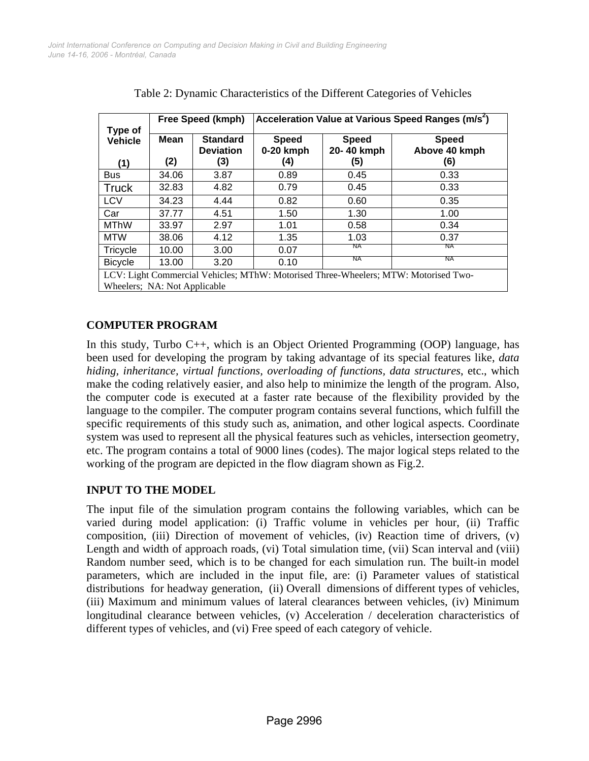| Type of<br><b>Vehicle</b><br>(1)                                                    |             | Free Speed (kmph)                          | Acceleration Value at Various Speed Ranges (m/s <sup>2</sup> ) |                                   |                                      |  |  |  |
|-------------------------------------------------------------------------------------|-------------|--------------------------------------------|----------------------------------------------------------------|-----------------------------------|--------------------------------------|--|--|--|
|                                                                                     | Mean<br>(2) | <b>Standard</b><br><b>Deviation</b><br>(3) | <b>Speed</b><br>0-20 kmph<br>(4)                               | <b>Speed</b><br>20-40 kmph<br>(5) | <b>Speed</b><br>Above 40 kmph<br>(6) |  |  |  |
| <b>Bus</b>                                                                          | 34.06       | 3.87                                       | 0.89                                                           | 0.45                              | 0.33                                 |  |  |  |
| <b>Truck</b>                                                                        | 32.83       | 4.82                                       | 0.79                                                           | 0.45                              | 0.33                                 |  |  |  |
| <b>LCV</b>                                                                          | 34.23       | 4.44                                       | 0.82                                                           | 0.60                              | 0.35                                 |  |  |  |
| Car                                                                                 | 37.77       | 4.51                                       | 1.50                                                           | 1.30                              | 1.00                                 |  |  |  |
| <b>MThW</b>                                                                         | 33.97       | 2.97                                       | 1.01                                                           | 0.58                              | 0.34                                 |  |  |  |
| <b>MTW</b>                                                                          | 38.06       | 4.12                                       | 1.35                                                           | 1.03                              | 0.37                                 |  |  |  |
| Tricycle                                                                            | 10.00       | 3.00                                       | 0.07                                                           | ΝA                                | NA.                                  |  |  |  |
| <b>Bicycle</b>                                                                      | 13.00       | 3.20                                       | 0.10                                                           | ΝA                                | ΝA                                   |  |  |  |
| LCV: Light Commercial Vehicles; MThW: Motorised Three-Wheelers; MTW: Motorised Two- |             |                                            |                                                                |                                   |                                      |  |  |  |
| Wheelers; NA: Not Applicable                                                        |             |                                            |                                                                |                                   |                                      |  |  |  |

Table 2: Dynamic Characteristics of the Different Categories of Vehicles

# **COMPUTER PROGRAM**

In this study, Turbo C++, which is an Object Oriented Programming (OOP) language, has been used for developing the program by taking advantage of its special features like, *data hiding, inheritance, virtual functions, overloading of functions, data structures*, etc., which make the coding relatively easier, and also help to minimize the length of the program. Also, the computer code is executed at a faster rate because of the flexibility provided by the language to the compiler. The computer program contains several functions, which fulfill the specific requirements of this study such as, animation, and other logical aspects. Coordinate system was used to represent all the physical features such as vehicles, intersection geometry, etc. The program contains a total of 9000 lines (codes). The major logical steps related to the working of the program are depicted in the flow diagram shown as Fig.2.

### **INPUT TO THE MODEL**

The input file of the simulation program contains the following variables, which can be varied during model application: (i) Traffic volume in vehicles per hour, (ii) Traffic composition, (iii) Direction of movement of vehicles, (iv) Reaction time of drivers, (v) Length and width of approach roads, (vi) Total simulation time, (vii) Scan interval and (viii) Random number seed, which is to be changed for each simulation run. The built-in model parameters, which are included in the input file, are: (i) Parameter values of statistical distributions for headway generation, (ii) Overall dimensions of different types of vehicles, (iii) Maximum and minimum values of lateral clearances between vehicles, (iv) Minimum longitudinal clearance between vehicles, (v) Acceleration / deceleration characteristics of different types of vehicles, and (vi) Free speed of each category of vehicle.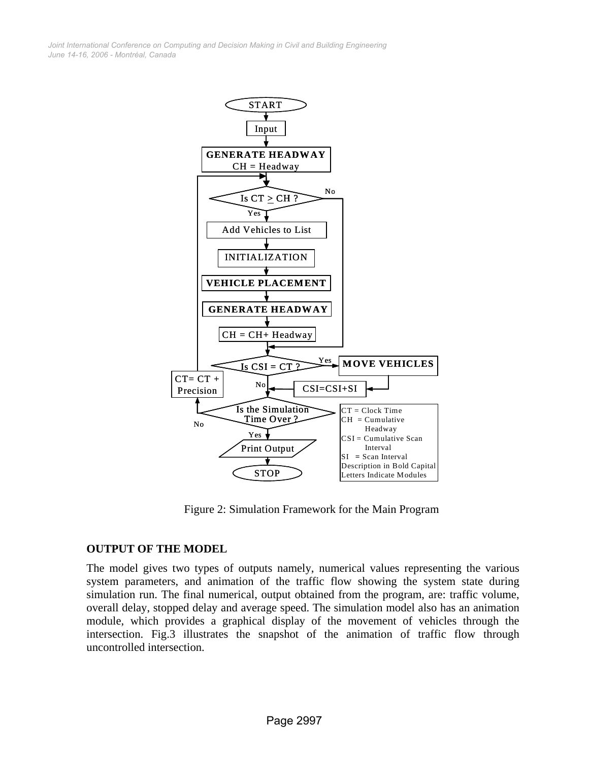*June 14-16, 2006 - Montréal, Canada Joint International Conference on Computing and Decision Making in Civil and Building Engineering*



Figure 2: Simulation Framework for the Main Program

#### **OUTPUT OF THE MODEL**

The model gives two types of outputs namely, numerical values representing the various system parameters, and animation of the traffic flow showing the system state during simulation run. The final numerical, output obtained from the program, are: traffic volume, overall delay, stopped delay and average speed. The simulation model also has an animation module, which provides a graphical display of the movement of vehicles through the intersection. Fig.3 illustrates the snapshot of the animation of traffic flow through uncontrolled intersection.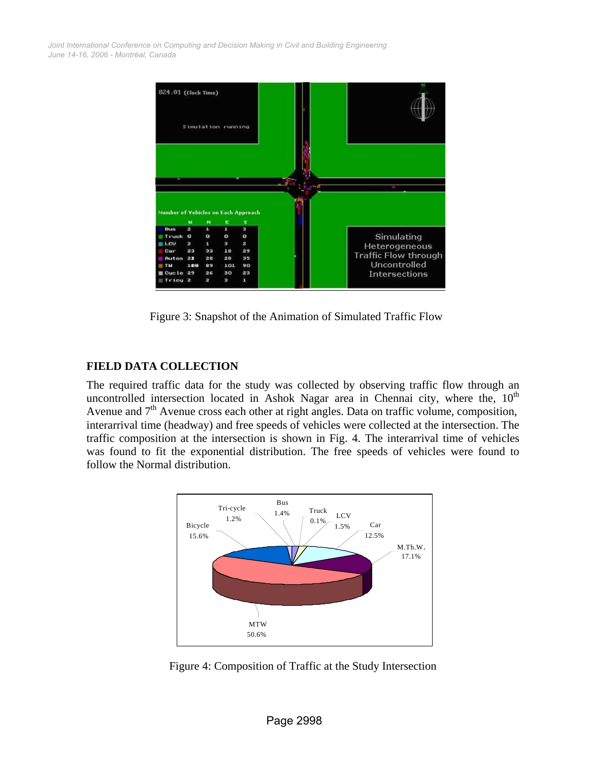*June 14-16, 2006 - Montréal, Canada Joint International Conference on Computing and Decision Making in Civil and Building Engineering*



Figure 3: Snapshot of the Animation of Simulated Traffic Flow

# **FIELD DATA COLLECTION**

The required traffic data for the study was collected by observing traffic flow through an uncontrolled intersection located in Ashok Nagar area in Chennai city, where the,  $10<sup>th</sup>$ Avenue and 7<sup>th</sup> Avenue cross each other at right angles. Data on traffic volume, composition, interarrival time (headway) and free speeds of vehicles were collected at the intersection. The traffic composition at the intersection is shown in Fig. 4. The interarrival time of vehicles was found to fit the exponential distribution. The free speeds of vehicles were found to follow the Normal distribution.



Figure 4: Composition of Traffic at the Study Intersection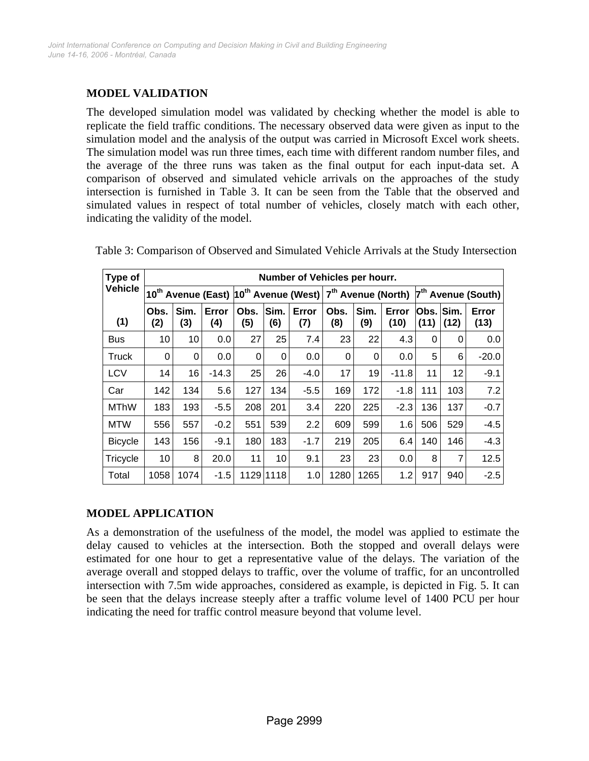# **MODEL VALIDATION**

The developed simulation model was validated by checking whether the model is able to replicate the field traffic conditions. The necessary observed data were given as input to the simulation model and the analysis of the output was carried in Microsoft Excel work sheets. The simulation model was run three times, each time with different random number files, and the average of the three runs was taken as the final output for each input-data set. A comparison of observed and simulated vehicle arrivals on the approaches of the study intersection is furnished in Table 3. It can be seen from the Table that the observed and simulated values in respect of total number of vehicles, closely match with each other, indicating the validity of the model.

| Type of        |                                | Number of Vehicles per hourr. |                          |             |                                |              |             |                                |               |                |              |               |
|----------------|--------------------------------|-------------------------------|--------------------------|-------------|--------------------------------|--------------|-------------|--------------------------------|---------------|----------------|--------------|---------------|
| <b>Vehicle</b> | 10 <sup>th</sup> Avenue (East) |                               | $ 10^{th}$ Avenue (West) |             | 7 <sup>th</sup> Avenue (North) |              |             | 7 <sup>th</sup> Avenue (South) |               |                |              |               |
| (1)            | Obs.<br>(2)                    | Sim.<br>(3)                   | Error<br>(4)             | Obs.<br>(5) | Sim.<br>(6)                    | Error<br>(7) | Obs.<br>(8) | Sim.<br>(9)                    | Error<br>(10) | Obs. l<br>(11) | Sim.<br>(12) | Error<br>(13) |
| <b>Bus</b>     | 10                             | 10                            | 0.0                      | 27          | 25                             | 7.4          | 23          | 22                             | 4.3           | 0              | 0            | 0.0           |
| <b>Truck</b>   | 0                              | 0                             | 0.0                      | 0           | 0                              | 0.0          | 0           | 0                              | 0.0           | 5              | 6            | $-20.0$       |
| <b>LCV</b>     | 14                             | 16                            | $-14.3$                  | 25          | 26                             | $-4.0$       | 17          | 19                             | $-11.8$       | 11             | 12           | $-9.1$        |
| Car            | 142                            | 134                           | 5.6                      | 127         | 134                            | $-5.5$       | 169         | 172                            | $-1.8$        | 111            | 103          | 7.2           |
| <b>MThW</b>    | 183                            | 193                           | $-5.5$                   | 208         | 201                            | 3.4          | 220         | 225                            | $-2.3$        | 136            | 137          | $-0.7$        |
| <b>MTW</b>     | 556                            | 557                           | $-0.2$                   | 551         | 539                            | 2.2          | 609         | 599                            | 1.6           | 506            | 529          | $-4.5$        |
| <b>Bicycle</b> | 143                            | 156                           | $-9.1$                   | 180         | 183                            | $-1.7$       | 219         | 205                            | 6.4           | 140            | 146          | $-4.3$        |
| Tricycle       | 10                             | 8                             | 20.0                     | 11          | 10                             | 9.1          | 23          | 23                             | 0.0           | 8              | 7            | 12.5          |
| Total          | 1058                           | 1074                          | $-1.5$                   |             | 1129 1118                      | 1.0          | 1280        | 1265                           | 1.2           | 917            | 940          | $-2.5$        |

Table 3: Comparison of Observed and Simulated Vehicle Arrivals at the Study Intersection

### **MODEL APPLICATION**

As a demonstration of the usefulness of the model, the model was applied to estimate the delay caused to vehicles at the intersection. Both the stopped and overall delays were estimated for one hour to get a representative value of the delays. The variation of the average overall and stopped delays to traffic, over the volume of traffic, for an uncontrolled intersection with 7.5m wide approaches, considered as example, is depicted in Fig. 5. It can be seen that the delays increase steeply after a traffic volume level of 1400 PCU per hour indicating the need for traffic control measure beyond that volume level.